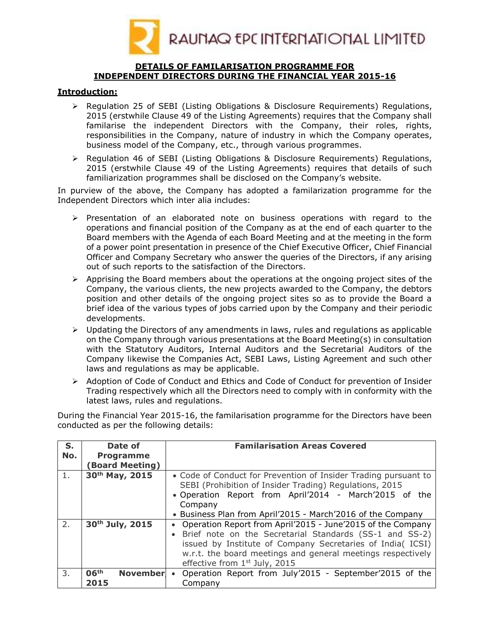

## **DETAILS OF FAMILARISATION PROGRAMME FOR INDEPENDENT DIRECTORS DURING THE FINANCIAL YEAR 2015-16**

## **Introduction:**

- $\triangleright$  Regulation 25 of SEBI (Listing Obligations & Disclosure Reguirements) Regulations, 2015 (erstwhile Clause 49 of the Listing Agreements) requires that the Company shall familarise the independent Directors with the Company, their roles, rights, responsibilities in the Company, nature of industry in which the Company operates, business model of the Company, etc., through various programmes.
- $\triangleright$  Regulation 46 of SEBI (Listing Obligations & Disclosure Requirements) Regulations, 2015 (erstwhile Clause 49 of the Listing Agreements) requires that details of such familiarization programmes shall be disclosed on the Company's website.

In purview of the above, the Company has adopted a familarization programme for the Independent Directors which inter alia includes:

- $\triangleright$  Presentation of an elaborated note on business operations with regard to the operations and financial position of the Company as at the end of each quarter to the Board members with the Agenda of each Board Meeting and at the meeting in the form of a power point presentation in presence of the Chief Executive Officer, Chief Financial Officer and Company Secretary who answer the queries of the Directors, if any arising out of such reports to the satisfaction of the Directors.
- $\triangleright$  Apprising the Board members about the operations at the ongoing project sites of the Company, the various clients, the new projects awarded to the Company, the debtors position and other details of the ongoing project sites so as to provide the Board a brief idea of the various types of jobs carried upon by the Company and their periodic developments.
- $\triangleright$  Updating the Directors of any amendments in laws, rules and regulations as applicable on the Company through various presentations at the Board Meeting(s) in consultation with the Statutory Auditors, Internal Auditors and the Secretarial Auditors of the Company likewise the Companies Act, SEBI Laws, Listing Agreement and such other laws and regulations as may be applicable.
- $\triangleright$  Adoption of Code of Conduct and Ethics and Code of Conduct for prevention of Insider Trading respectively which all the Directors need to comply with in conformity with the latest laws, rules and regulations.

During the Financial Year 2015-16, the familarisation programme for the Directors have been conducted as per the following details:

| S.  | Date of                             | <b>Familarisation Areas Covered</b>                             |  |  |  |
|-----|-------------------------------------|-----------------------------------------------------------------|--|--|--|
| No. | <b>Programme</b>                    |                                                                 |  |  |  |
|     | <b>Board Meeting)</b>               |                                                                 |  |  |  |
| 1.  | 30th May, 2015                      | • Code of Conduct for Prevention of Insider Trading pursuant to |  |  |  |
|     |                                     | SEBI (Prohibition of Insider Trading) Regulations, 2015         |  |  |  |
|     |                                     | · Operation Report from April'2014 - March'2015 of the          |  |  |  |
|     |                                     | Company                                                         |  |  |  |
|     |                                     | • Business Plan from April'2015 - March'2016 of the Company     |  |  |  |
| 2.  | 30th July, 2015                     | Operation Report from April'2015 - June'2015 of the Company     |  |  |  |
|     |                                     | • Brief note on the Secretarial Standards (SS-1 and SS-2)       |  |  |  |
|     |                                     | issued by Institute of Company Secretaries of India( ICSI)      |  |  |  |
|     |                                     | w.r.t. the board meetings and general meetings respectively     |  |  |  |
|     |                                     | effective from $1st$ July, 2015                                 |  |  |  |
| 3.  | 06 <sup>th</sup><br><b>November</b> | Operation Report from July'2015 - September'2015 of the         |  |  |  |
|     | 2015<br>Company                     |                                                                 |  |  |  |